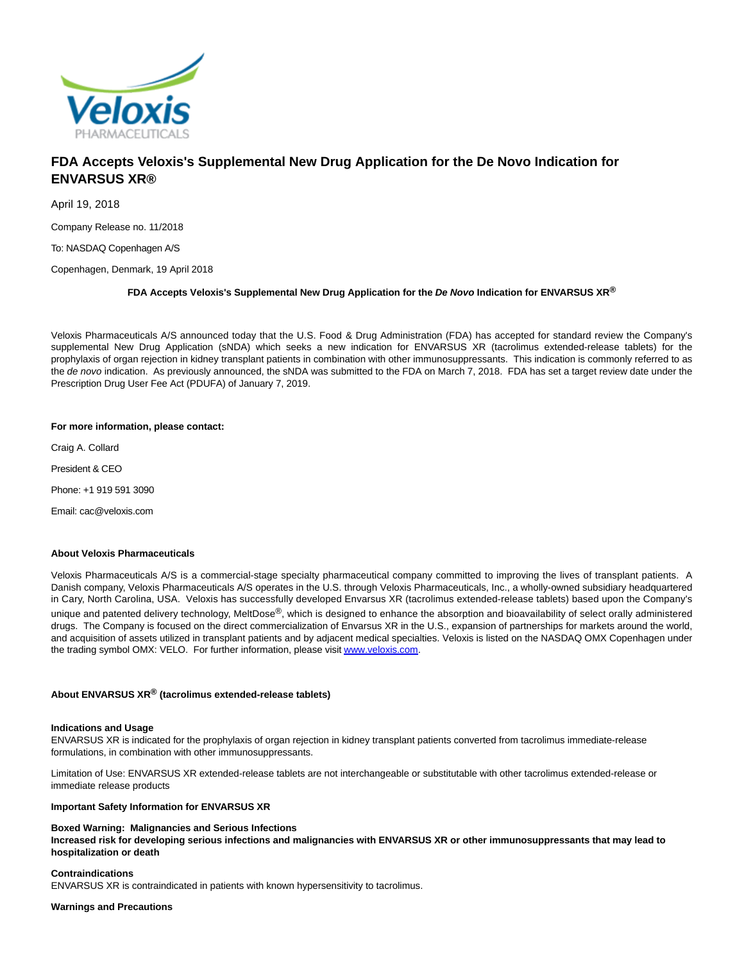

# **FDA Accepts Veloxis's Supplemental New Drug Application for the De Novo Indication for ENVARSUS XR®**

April 19, 2018

Company Release no. 11/2018

To: NASDAQ Copenhagen A/S

Copenhagen, Denmark, 19 April 2018

## **FDA Accepts Veloxis's Supplemental New Drug Application for the De Novo Indication for ENVARSUS XR®**

Veloxis Pharmaceuticals A/S announced today that the U.S. Food & Drug Administration (FDA) has accepted for standard review the Company's supplemental New Drug Application (sNDA) which seeks a new indication for ENVARSUS XR (tacrolimus extended-release tablets) for the prophylaxis of organ rejection in kidney transplant patients in combination with other immunosuppressants. This indication is commonly referred to as the de novo indication. As previously announced, the sNDA was submitted to the FDA on March 7, 2018. FDA has set a target review date under the Prescription Drug User Fee Act (PDUFA) of January 7, 2019.

## **For more information, please contact:**

Craig A. Collard

President & CEO

Phone: +1 919 591 3090

Email: cac@veloxis.com

#### **About Veloxis Pharmaceuticals**

Veloxis Pharmaceuticals A/S is a commercial-stage specialty pharmaceutical company committed to improving the lives of transplant patients. A Danish company, Veloxis Pharmaceuticals A/S operates in the U.S. through Veloxis Pharmaceuticals, Inc., a wholly-owned subsidiary headquartered in Cary, North Carolina, USA. Veloxis has successfully developed Envarsus XR (tacrolimus extended-release tablets) based upon the Company's unique and patented delivery technology, MeltDose<sup>®</sup>, which is designed to enhance the absorption and bioavailability of select orally administered drugs. The Company is focused on the direct commercialization of Envarsus XR in the U.S., expansion of partnerships for markets around the world, and acquisition of assets utilized in transplant patients and by adjacent medical specialties. Veloxis is listed on the NASDAQ OMX Copenhagen under the trading symbol OMX: VELO. For further information, please visi[t www.veloxis.com.](https://www.globenewswire.com/Tracker?data=0zF2oDn-pRAse09hxY8sIJxxfsuky4RBIHRoMGc8r9L25_ABMX_d79-Gkzmcgydo0r-0qIytIBtvuK_QhRcDHA==)

## **About ENVARSUS XR® (tacrolimus extended-release tablets)**

#### **Indications and Usage**

ENVARSUS XR is indicated for the prophylaxis of organ rejection in kidney transplant patients converted from tacrolimus immediate-release formulations, in combination with other immunosuppressants.

Limitation of Use: ENVARSUS XR extended-release tablets are not interchangeable or substitutable with other tacrolimus extended-release or immediate release products

#### **Important Safety Information for ENVARSUS XR**

## **Boxed Warning: Malignancies and Serious Infections**

**Increased risk for developing serious infections and malignancies with ENVARSUS XR or other immunosuppressants that may lead to hospitalization or death**

## **Contraindications**

ENVARSUS XR is contraindicated in patients with known hypersensitivity to tacrolimus.

#### **Warnings and Precautions**